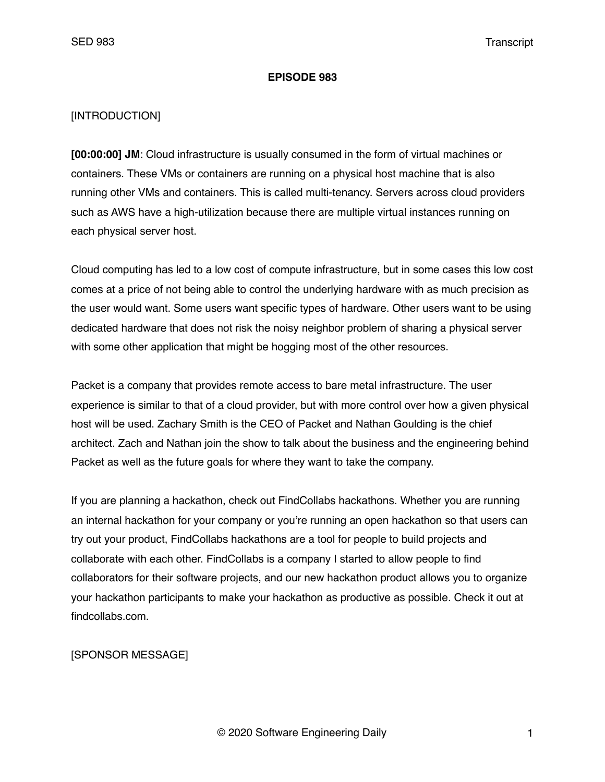#### **EPISODE 983**

#### [INTRODUCTION]

**[00:00:00] JM**: Cloud infrastructure is usually consumed in the form of virtual machines or containers. These VMs or containers are running on a physical host machine that is also running other VMs and containers. This is called multi-tenancy. Servers across cloud providers such as AWS have a high-utilization because there are multiple virtual instances running on each physical server host.

Cloud computing has led to a low cost of compute infrastructure, but in some cases this low cost comes at a price of not being able to control the underlying hardware with as much precision as the user would want. Some users want specific types of hardware. Other users want to be using dedicated hardware that does not risk the noisy neighbor problem of sharing a physical server with some other application that might be hogging most of the other resources.

Packet is a company that provides remote access to bare metal infrastructure. The user experience is similar to that of a cloud provider, but with more control over how a given physical host will be used. Zachary Smith is the CEO of Packet and Nathan Goulding is the chief architect. Zach and Nathan join the show to talk about the business and the engineering behind Packet as well as the future goals for where they want to take the company.

If you are planning a hackathon, check out FindCollabs hackathons. Whether you are running an internal hackathon for your company or you're running an open hackathon so that users can try out your product, FindCollabs hackathons are a tool for people to build projects and collaborate with each other. FindCollabs is a company I started to allow people to find collaborators for their software projects, and our new hackathon product allows you to organize your hackathon participants to make your hackathon as productive as possible. Check it out at findcollabs.com.

## [SPONSOR MESSAGE]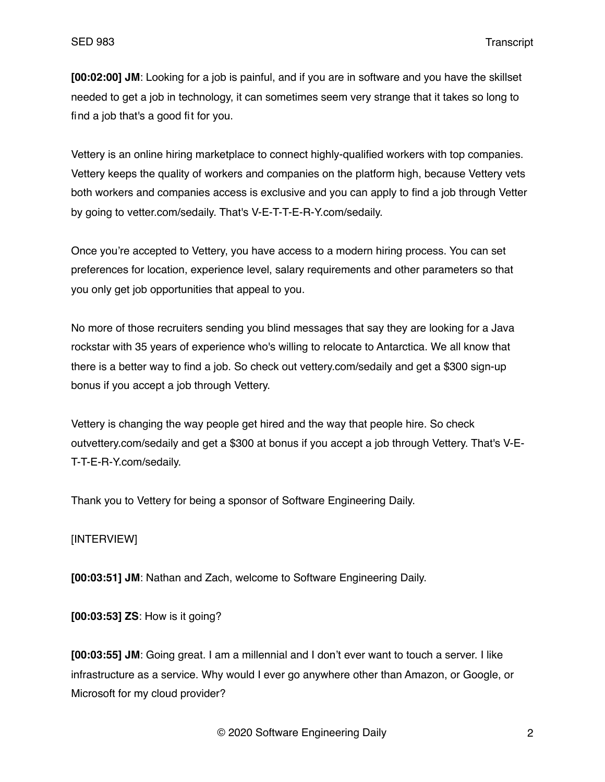**[00:02:00] JM**: Looking for a job is painful, and if you are in software and you have the skillset needed to get a job in technology, it can sometimes seem very strange that it takes so long to find a job that's a good fit for you.

Vettery is an online hiring marketplace to connect highly-qualified workers with top companies. Vettery keeps the quality of workers and companies on the platform high, because Vettery vets both workers and companies access is exclusive and you can apply to find a job through Vetter by going to vetter.com/sedaily. That's V-E-T-T-E-R-Y.com/sedaily.

Once you're accepted to Vettery, you have access to a modern hiring process. You can set preferences for location, experience level, salary requirements and other parameters so that you only get job opportunities that appeal to you.

No more of those recruiters sending you blind messages that say they are looking for a Java rockstar with 35 years of experience who's willing to relocate to Antarctica. We all know that there is a better way to find a job. So check out vettery.com/sedaily and get a \$300 sign-up bonus if you accept a job through Vettery.

Vettery is changing the way people get hired and the way that people hire. So check outvettery.com/sedaily and get a \$300 at bonus if you accept a job through Vettery. That's V-E-T-T-E-R-Y.com/sedaily.

Thank you to Vettery for being a sponsor of Software Engineering Daily.

### [INTERVIEW]

**[00:03:51] JM**: Nathan and Zach, welcome to Software Engineering Daily.

**[00:03:53] ZS**: How is it going?

**[00:03:55] JM**: Going great. I am a millennial and I don't ever want to touch a server. I like infrastructure as a service. Why would I ever go anywhere other than Amazon, or Google, or Microsoft for my cloud provider?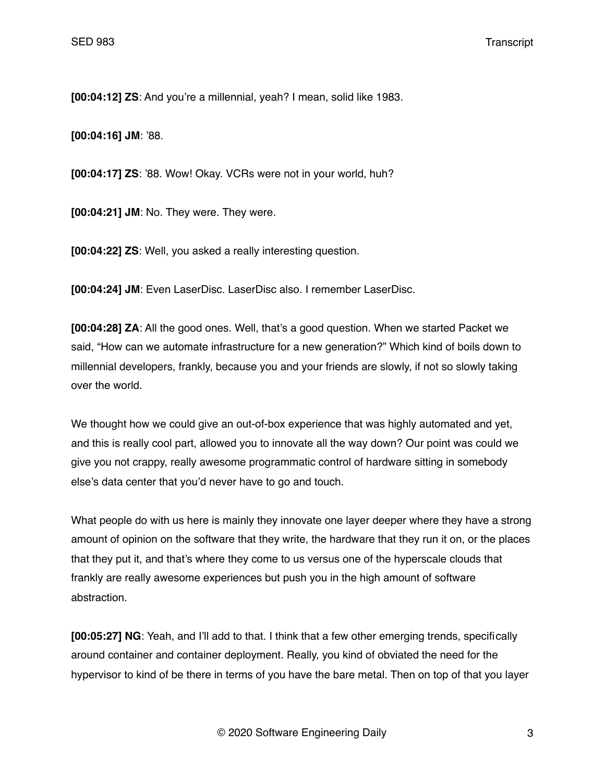**[00:04:12] ZS**: And you're a millennial, yeah? I mean, solid like 1983.

**[00:04:16] JM**: '88.

**[00:04:17] ZS**: '88. Wow! Okay. VCRs were not in your world, huh?

**[00:04:21] JM**: No. They were. They were.

**[00:04:22] ZS**: Well, you asked a really interesting question.

**[00:04:24] JM**: Even LaserDisc. LaserDisc also. I remember LaserDisc.

**[00:04:28] ZA**: All the good ones. Well, that's a good question. When we started Packet we said, "How can we automate infrastructure for a new generation?" Which kind of boils down to millennial developers, frankly, because you and your friends are slowly, if not so slowly taking over the world.

We thought how we could give an out-of-box experience that was highly automated and yet, and this is really cool part, allowed you to innovate all the way down? Our point was could we give you not crappy, really awesome programmatic control of hardware sitting in somebody else's data center that you'd never have to go and touch.

What people do with us here is mainly they innovate one layer deeper where they have a strong amount of opinion on the software that they write, the hardware that they run it on, or the places that they put it, and that's where they come to us versus one of the hyperscale clouds that frankly are really awesome experiences but push you in the high amount of software abstraction.

**[00:05:27] NG**: Yeah, and I'll add to that. I think that a few other emerging trends, specifically around container and container deployment. Really, you kind of obviated the need for the hypervisor to kind of be there in terms of you have the bare metal. Then on top of that you layer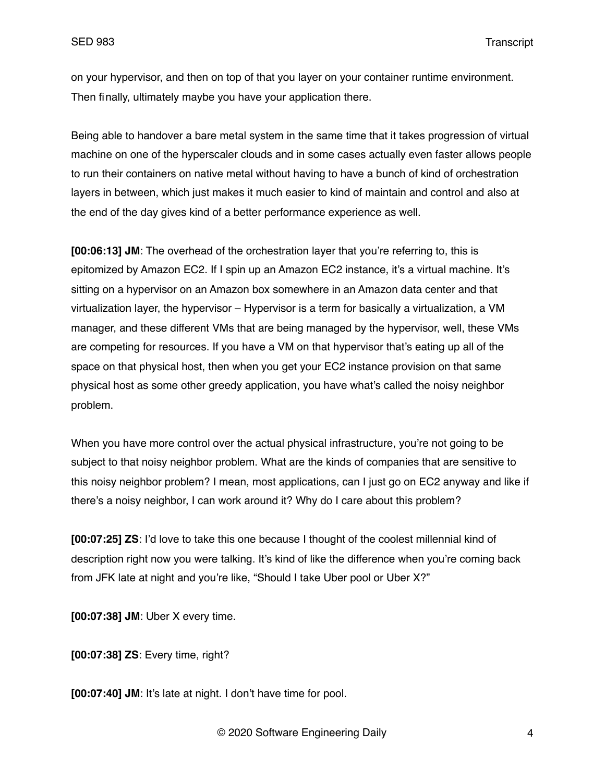on your hypervisor, and then on top of that you layer on your container runtime environment. Then finally, ultimately maybe you have your application there.

Being able to handover a bare metal system in the same time that it takes progression of virtual machine on one of the hyperscaler clouds and in some cases actually even faster allows people to run their containers on native metal without having to have a bunch of kind of orchestration layers in between, which just makes it much easier to kind of maintain and control and also at the end of the day gives kind of a better performance experience as well.

**[00:06:13] JM**: The overhead of the orchestration layer that you're referring to, this is epitomized by Amazon EC2. If I spin up an Amazon EC2 instance, it's a virtual machine. It's sitting on a hypervisor on an Amazon box somewhere in an Amazon data center and that virtualization layer, the hypervisor – Hypervisor is a term for basically a virtualization, a VM manager, and these different VMs that are being managed by the hypervisor, well, these VMs are competing for resources. If you have a VM on that hypervisor that's eating up all of the space on that physical host, then when you get your EC2 instance provision on that same physical host as some other greedy application, you have what's called the noisy neighbor problem.

When you have more control over the actual physical infrastructure, you're not going to be subject to that noisy neighbor problem. What are the kinds of companies that are sensitive to this noisy neighbor problem? I mean, most applications, can I just go on EC2 anyway and like if there's a noisy neighbor, I can work around it? Why do I care about this problem?

**[00:07:25] ZS**: I'd love to take this one because I thought of the coolest millennial kind of description right now you were talking. It's kind of like the difference when you're coming back from JFK late at night and you're like, "Should I take Uber pool or Uber X?"

**[00:07:38] JM**: Uber X every time.

**[00:07:38] ZS**: Every time, right?

**[00:07:40] JM**: It's late at night. I don't have time for pool.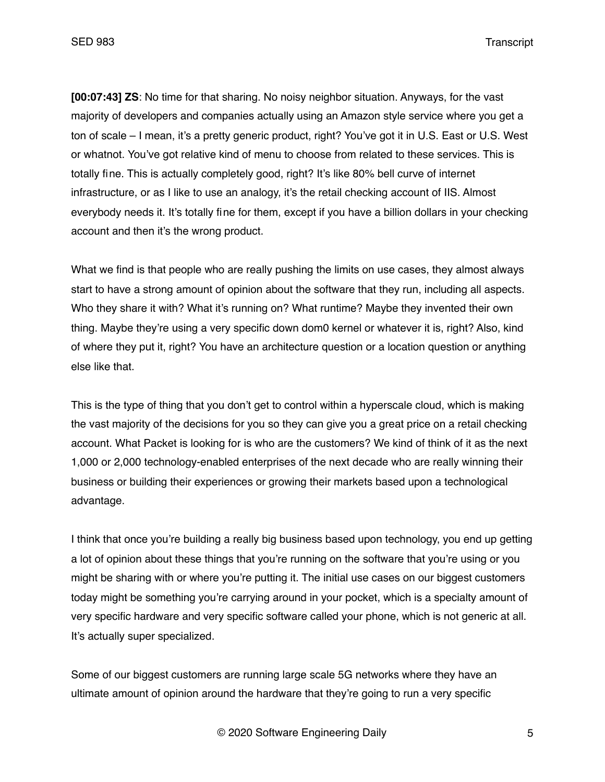**[00:07:43] ZS**: No time for that sharing. No noisy neighbor situation. Anyways, for the vast majority of developers and companies actually using an Amazon style service where you get a ton of scale – I mean, it's a pretty generic product, right? You've got it in U.S. East or U.S. West or whatnot. You've got relative kind of menu to choose from related to these services. This is totally fine. This is actually completely good, right? It's like 80% bell curve of internet infrastructure, or as I like to use an analogy, it's the retail checking account of IIS. Almost everybody needs it. It's totally fine for them, except if you have a billion dollars in your checking account and then it's the wrong product.

What we find is that people who are really pushing the limits on use cases, they almost always start to have a strong amount of opinion about the software that they run, including all aspects. Who they share it with? What it's running on? What runtime? Maybe they invented their own thing. Maybe they're using a very specific down dom0 kernel or whatever it is, right? Also, kind of where they put it, right? You have an architecture question or a location question or anything else like that.

This is the type of thing that you don't get to control within a hyperscale cloud, which is making the vast majority of the decisions for you so they can give you a great price on a retail checking account. What Packet is looking for is who are the customers? We kind of think of it as the next 1,000 or 2,000 technology-enabled enterprises of the next decade who are really winning their business or building their experiences or growing their markets based upon a technological advantage.

I think that once you're building a really big business based upon technology, you end up getting a lot of opinion about these things that you're running on the software that you're using or you might be sharing with or where you're putting it. The initial use cases on our biggest customers today might be something you're carrying around in your pocket, which is a specialty amount of very specific hardware and very specific software called your phone, which is not generic at all. It's actually super specialized.

Some of our biggest customers are running large scale 5G networks where they have an ultimate amount of opinion around the hardware that they're going to run a very specific

© 2020 Software Engineering Daily 5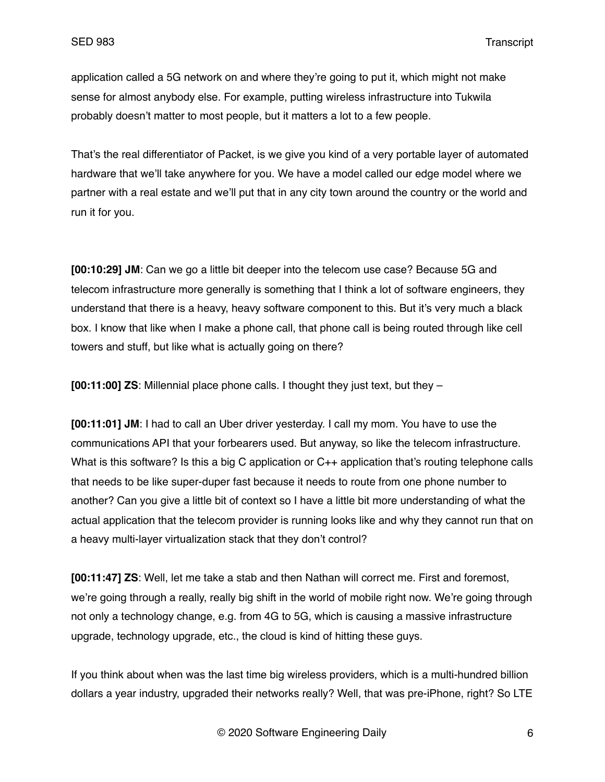application called a 5G network on and where they're going to put it, which might not make sense for almost anybody else. For example, putting wireless infrastructure into Tukwila probably doesn't matter to most people, but it matters a lot to a few people.

That's the real differentiator of Packet, is we give you kind of a very portable layer of automated hardware that we'll take anywhere for you. We have a model called our edge model where we partner with a real estate and we'll put that in any city town around the country or the world and run it for you.

**[00:10:29] JM**: Can we go a little bit deeper into the telecom use case? Because 5G and telecom infrastructure more generally is something that I think a lot of software engineers, they understand that there is a heavy, heavy software component to this. But it's very much a black box. I know that like when I make a phone call, that phone call is being routed through like cell towers and stuff, but like what is actually going on there?

**[00:11:00] ZS**: Millennial place phone calls. I thought they just text, but they –

**[00:11:01] JM**: I had to call an Uber driver yesterday. I call my mom. You have to use the communications API that your forbearers used. But anyway, so like the telecom infrastructure. What is this software? Is this a big C application or C++ application that's routing telephone calls that needs to be like super-duper fast because it needs to route from one phone number to another? Can you give a little bit of context so I have a little bit more understanding of what the actual application that the telecom provider is running looks like and why they cannot run that on a heavy multi-layer virtualization stack that they don't control?

**[00:11:47] ZS**: Well, let me take a stab and then Nathan will correct me. First and foremost, we're going through a really, really big shift in the world of mobile right now. We're going through not only a technology change, e.g. from 4G to 5G, which is causing a massive infrastructure upgrade, technology upgrade, etc., the cloud is kind of hitting these guys.

If you think about when was the last time big wireless providers, which is a multi-hundred billion dollars a year industry, upgraded their networks really? Well, that was pre-iPhone, right? So LTE

© 2020 Software Engineering Daily 6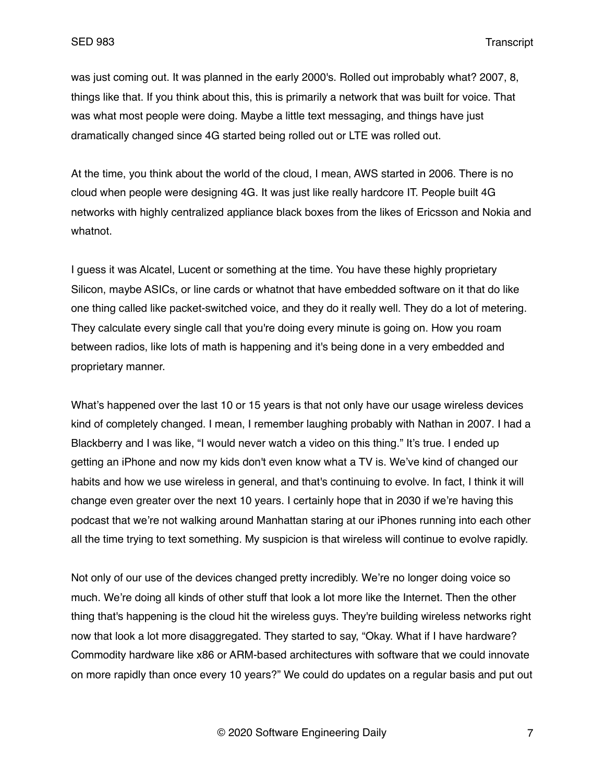was just coming out. It was planned in the early 2000's. Rolled out improbably what? 2007, 8, things like that. If you think about this, this is primarily a network that was built for voice. That was what most people were doing. Maybe a little text messaging, and things have just dramatically changed since 4G started being rolled out or LTE was rolled out.

At the time, you think about the world of the cloud, I mean, AWS started in 2006. There is no cloud when people were designing 4G. It was just like really hardcore IT. People built 4G networks with highly centralized appliance black boxes from the likes of Ericsson and Nokia and whatnot.

I guess it was Alcatel, Lucent or something at the time. You have these highly proprietary Silicon, maybe ASICs, or line cards or whatnot that have embedded software on it that do like one thing called like packet-switched voice, and they do it really well. They do a lot of metering. They calculate every single call that you're doing every minute is going on. How you roam between radios, like lots of math is happening and it's being done in a very embedded and proprietary manner.

What's happened over the last 10 or 15 years is that not only have our usage wireless devices kind of completely changed. I mean, I remember laughing probably with Nathan in 2007. I had a Blackberry and I was like, "I would never watch a video on this thing." It's true. I ended up getting an iPhone and now my kids don't even know what a TV is. We've kind of changed our habits and how we use wireless in general, and that's continuing to evolve. In fact, I think it will change even greater over the next 10 years. I certainly hope that in 2030 if we're having this podcast that we're not walking around Manhattan staring at our iPhones running into each other all the time trying to text something. My suspicion is that wireless will continue to evolve rapidly.

Not only of our use of the devices changed pretty incredibly. We're no longer doing voice so much. We're doing all kinds of other stuff that look a lot more like the Internet. Then the other thing that's happening is the cloud hit the wireless guys. They're building wireless networks right now that look a lot more disaggregated. They started to say, "Okay. What if I have hardware? Commodity hardware like x86 or ARM-based architectures with software that we could innovate on more rapidly than once every 10 years?" We could do updates on a regular basis and put out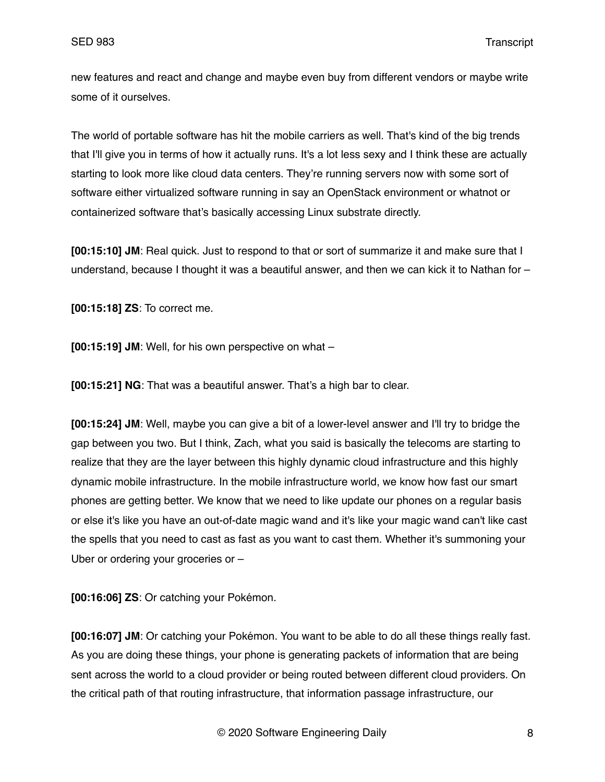new features and react and change and maybe even buy from different vendors or maybe write some of it ourselves.

The world of portable software has hit the mobile carriers as well. That's kind of the big trends that I'll give you in terms of how it actually runs. It's a lot less sexy and I think these are actually starting to look more like cloud data centers. They're running servers now with some sort of software either virtualized software running in say an OpenStack environment or whatnot or containerized software that's basically accessing Linux substrate directly.

**[00:15:10] JM**: Real quick. Just to respond to that or sort of summarize it and make sure that I understand, because I thought it was a beautiful answer, and then we can kick it to Nathan for –

**[00:15:18] ZS**: To correct me.

**[00:15:19] JM**: Well, for his own perspective on what –

**[00:15:21] NG**: That was a beautiful answer. That's a high bar to clear.

**[00:15:24] JM**: Well, maybe you can give a bit of a lower-level answer and I'll try to bridge the gap between you two. But I think, Zach, what you said is basically the telecoms are starting to realize that they are the layer between this highly dynamic cloud infrastructure and this highly dynamic mobile infrastructure. In the mobile infrastructure world, we know how fast our smart phones are getting better. We know that we need to like update our phones on a regular basis or else it's like you have an out-of-date magic wand and it's like your magic wand can't like cast the spells that you need to cast as fast as you want to cast them. Whether it's summoning your Uber or ordering your groceries or –

**[00:16:06] ZS**: Or catching your Pokémon.

**[00:16:07] JM**: Or catching your Pokémon. You want to be able to do all these things really fast. As you are doing these things, your phone is generating packets of information that are being sent across the world to a cloud provider or being routed between different cloud providers. On the critical path of that routing infrastructure, that information passage infrastructure, our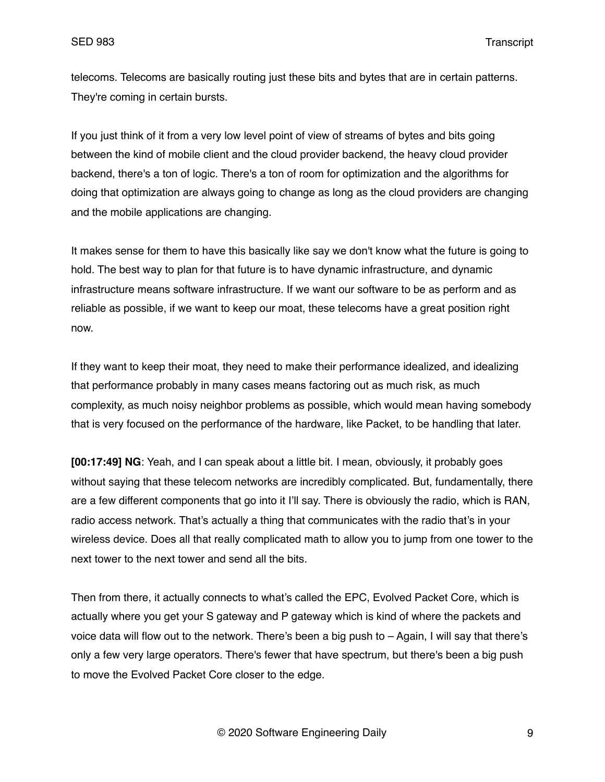telecoms. Telecoms are basically routing just these bits and bytes that are in certain patterns. They're coming in certain bursts.

If you just think of it from a very low level point of view of streams of bytes and bits going between the kind of mobile client and the cloud provider backend, the heavy cloud provider backend, there's a ton of logic. There's a ton of room for optimization and the algorithms for doing that optimization are always going to change as long as the cloud providers are changing and the mobile applications are changing.

It makes sense for them to have this basically like say we don't know what the future is going to hold. The best way to plan for that future is to have dynamic infrastructure, and dynamic infrastructure means software infrastructure. If we want our software to be as perform and as reliable as possible, if we want to keep our moat, these telecoms have a great position right now.

If they want to keep their moat, they need to make their performance idealized, and idealizing that performance probably in many cases means factoring out as much risk, as much complexity, as much noisy neighbor problems as possible, which would mean having somebody that is very focused on the performance of the hardware, like Packet, to be handling that later.

**[00:17:49] NG**: Yeah, and I can speak about a little bit. I mean, obviously, it probably goes without saying that these telecom networks are incredibly complicated. But, fundamentally, there are a few different components that go into it I'll say. There is obviously the radio, which is RAN, radio access network. That's actually a thing that communicates with the radio that's in your wireless device. Does all that really complicated math to allow you to jump from one tower to the next tower to the next tower and send all the bits.

Then from there, it actually connects to what's called the EPC, Evolved Packet Core, which is actually where you get your S gateway and P gateway which is kind of where the packets and voice data will flow out to the network. There's been a big push to – Again, I will say that there's only a few very large operators. There's fewer that have spectrum, but there's been a big push to move the Evolved Packet Core closer to the edge.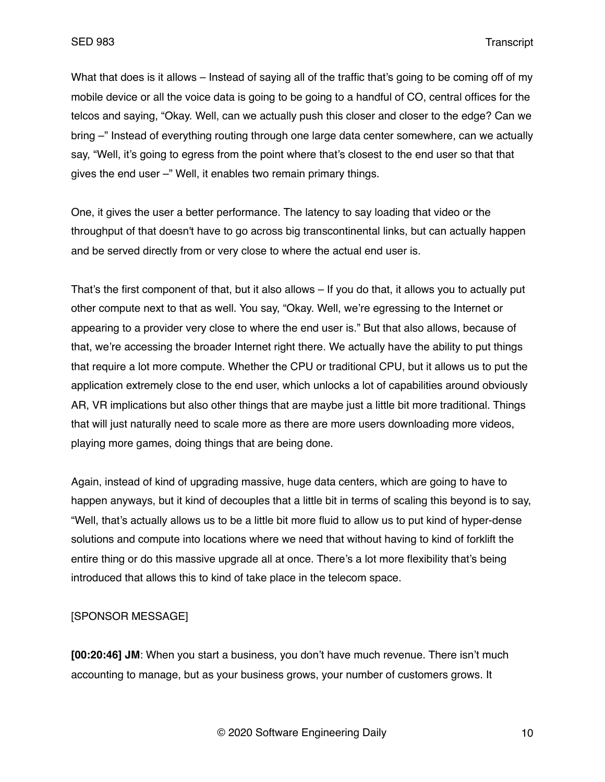What that does is it allows – Instead of saying all of the traffic that's going to be coming off of my mobile device or all the voice data is going to be going to a handful of CO, central offices for the telcos and saying, "Okay. Well, can we actually push this closer and closer to the edge? Can we bring –" Instead of everything routing through one large data center somewhere, can we actually say, "Well, it's going to egress from the point where that's closest to the end user so that that gives the end user –" Well, it enables two remain primary things.

One, it gives the user a better performance. The latency to say loading that video or the throughput of that doesn't have to go across big transcontinental links, but can actually happen and be served directly from or very close to where the actual end user is.

That's the first component of that, but it also allows – If you do that, it allows you to actually put other compute next to that as well. You say, "Okay. Well, we're egressing to the Internet or appearing to a provider very close to where the end user is." But that also allows, because of that, we're accessing the broader Internet right there. We actually have the ability to put things that require a lot more compute. Whether the CPU or traditional CPU, but it allows us to put the application extremely close to the end user, which unlocks a lot of capabilities around obviously AR, VR implications but also other things that are maybe just a little bit more traditional. Things that will just naturally need to scale more as there are more users downloading more videos, playing more games, doing things that are being done.

Again, instead of kind of upgrading massive, huge data centers, which are going to have to happen anyways, but it kind of decouples that a little bit in terms of scaling this beyond is to say, "Well, that's actually allows us to be a little bit more fluid to allow us to put kind of hyper-dense solutions and compute into locations where we need that without having to kind of forklift the entire thing or do this massive upgrade all at once. There's a lot more flexibility that's being introduced that allows this to kind of take place in the telecom space.

[SPONSOR MESSAGE]

**[00:20:46] JM**: When you start a business, you don't have much revenue. There isn't much accounting to manage, but as your business grows, your number of customers grows. It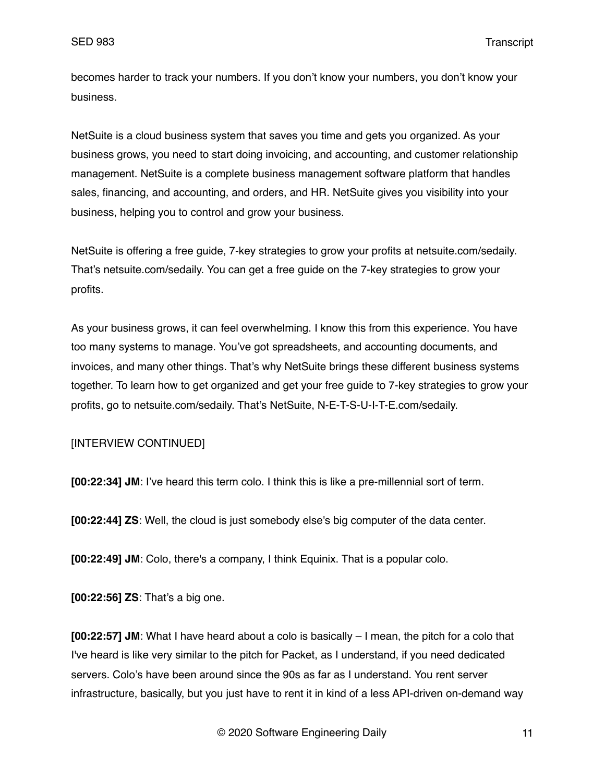becomes harder to track your numbers. If you don't know your numbers, you don't know your business.

NetSuite is a cloud business system that saves you time and gets you organized. As your business grows, you need to start doing invoicing, and accounting, and customer relationship management. NetSuite is a complete business management software platform that handles sales, financing, and accounting, and orders, and HR. NetSuite gives you visibility into your business, helping you to control and grow your business.

NetSuite is offering a free guide, 7-key strategies to grow your profits at netsuite.com/sedaily. That's netsuite.com/sedaily. You can get a free guide on the 7-key strategies to grow your profits.

As your business grows, it can feel overwhelming. I know this from this experience. You have too many systems to manage. You've got spreadsheets, and accounting documents, and invoices, and many other things. That's why NetSuite brings these different business systems together. To learn how to get organized and get your free guide to 7-key strategies to grow your profits, go to netsuite.com/sedaily. That's NetSuite, N-E-T-S-U-I-T-E.com/sedaily.

[INTERVIEW CONTINUED]

**[00:22:34] JM**: I've heard this term colo. I think this is like a pre-millennial sort of term.

**[00:22:44] ZS**: Well, the cloud is just somebody else's big computer of the data center.

**[00:22:49] JM**: Colo, there's a company, I think Equinix. That is a popular colo.

**[00:22:56] ZS**: That's a big one.

**[00:22:57] JM**: What I have heard about a colo is basically – I mean, the pitch for a colo that I've heard is like very similar to the pitch for Packet, as I understand, if you need dedicated servers. Colo's have been around since the 90s as far as I understand. You rent server infrastructure, basically, but you just have to rent it in kind of a less API-driven on-demand way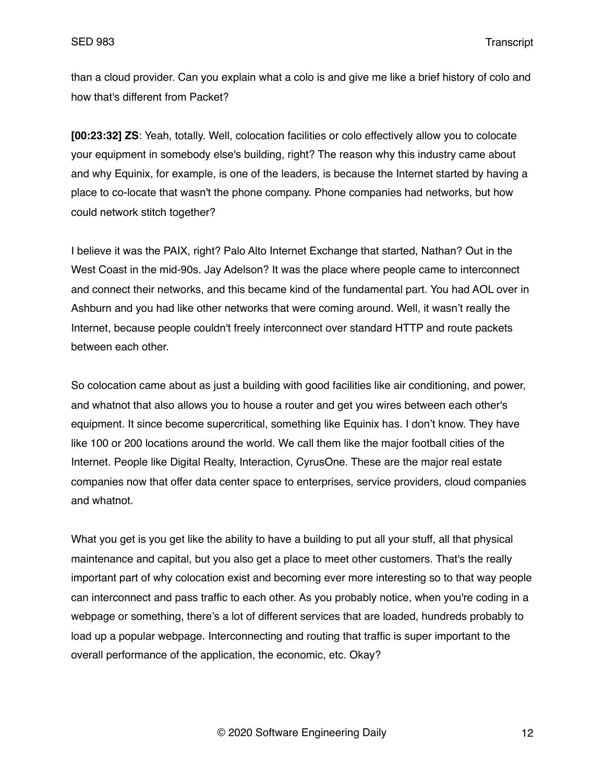than a cloud provider. Can you explain what a colo is and give me like a brief history of colo and how that's different from Packet?

**[00:23:32] ZS**: Yeah, totally. Well, colocation facilities or colo effectively allow you to colocate your equipment in somebody else's building, right? The reason why this industry came about and why Equinix, for example, is one of the leaders, is because the Internet started by having a place to co-locate that wasn't the phone company. Phone companies had networks, but how could network stitch together?

I believe it was the PAIX, right? Palo Alto Internet Exchange that started, Nathan? Out in the West Coast in the mid-90s. Jay Adelson? It was the place where people came to interconnect and connect their networks, and this became kind of the fundamental part. You had AOL over in Ashburn and you had like other networks that were coming around. Well, it wasn't really the Internet, because people couldn't freely interconnect over standard HTTP and route packets between each other.

So colocation came about as just a building with good facilities like air conditioning, and power, and whatnot that also allows you to house a router and get you wires between each other's equipment. It since become supercritical, something like Equinix has. I don't know. They have like 100 or 200 locations around the world. We call them like the major football cities of the Internet. People like Digital Realty, Interaction, CyrusOne. These are the major real estate companies now that offer data center space to enterprises, service providers, cloud companies and whatnot.

What you get is you get like the ability to have a building to put all your stuff, all that physical maintenance and capital, but you also get a place to meet other customers. That's the really important part of why colocation exist and becoming ever more interesting so to that way people can interconnect and pass traffic to each other. As you probably notice, when you're coding in a webpage or something, there's a lot of different services that are loaded, hundreds probably to load up a popular webpage. Interconnecting and routing that traffic is super important to the overall performance of the application, the economic, etc. Okay?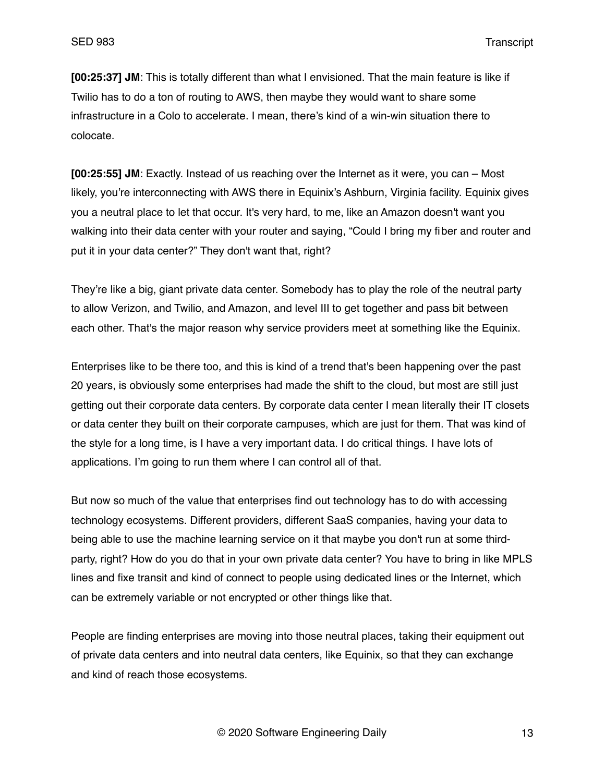**[00:25:37] JM**: This is totally different than what I envisioned. That the main feature is like if Twilio has to do a ton of routing to AWS, then maybe they would want to share some infrastructure in a Colo to accelerate. I mean, there's kind of a win-win situation there to colocate.

**[00:25:55] JM**: Exactly. Instead of us reaching over the Internet as it were, you can – Most likely, you're interconnecting with AWS there in Equinix's Ashburn, Virginia facility. Equinix gives you a neutral place to let that occur. It's very hard, to me, like an Amazon doesn't want you walking into their data center with your router and saying, "Could I bring my fiber and router and put it in your data center?" They don't want that, right?

They're like a big, giant private data center. Somebody has to play the role of the neutral party to allow Verizon, and Twilio, and Amazon, and level III to get together and pass bit between each other. That's the major reason why service providers meet at something like the Equinix.

Enterprises like to be there too, and this is kind of a trend that's been happening over the past 20 years, is obviously some enterprises had made the shift to the cloud, but most are still just getting out their corporate data centers. By corporate data center I mean literally their IT closets or data center they built on their corporate campuses, which are just for them. That was kind of the style for a long time, is I have a very important data. I do critical things. I have lots of applications. I'm going to run them where I can control all of that.

But now so much of the value that enterprises find out technology has to do with accessing technology ecosystems. Different providers, different SaaS companies, having your data to being able to use the machine learning service on it that maybe you don't run at some thirdparty, right? How do you do that in your own private data center? You have to bring in like MPLS lines and fixe transit and kind of connect to people using dedicated lines or the Internet, which can be extremely variable or not encrypted or other things like that.

People are finding enterprises are moving into those neutral places, taking their equipment out of private data centers and into neutral data centers, like Equinix, so that they can exchange and kind of reach those ecosystems.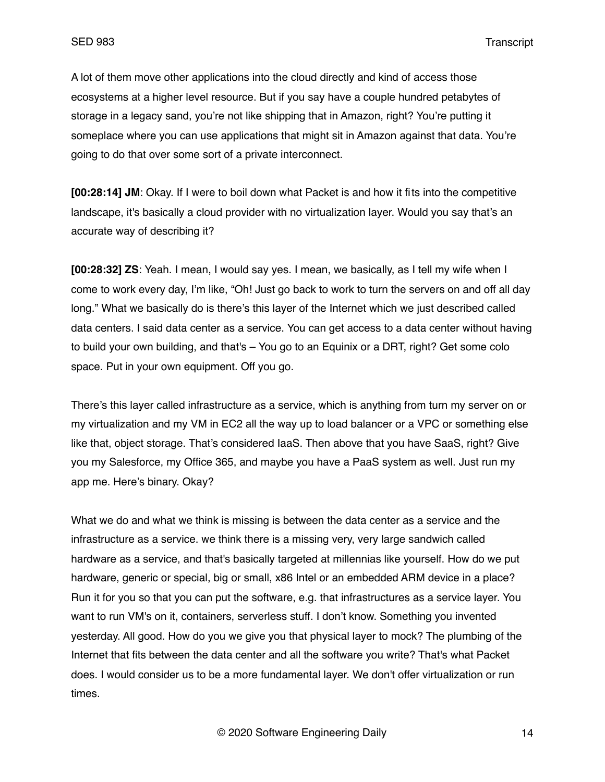A lot of them move other applications into the cloud directly and kind of access those ecosystems at a higher level resource. But if you say have a couple hundred petabytes of storage in a legacy sand, you're not like shipping that in Amazon, right? You're putting it someplace where you can use applications that might sit in Amazon against that data. You're going to do that over some sort of a private interconnect.

**[00:28:14] JM**: Okay. If I were to boil down what Packet is and how it fits into the competitive landscape, it's basically a cloud provider with no virtualization layer. Would you say that's an accurate way of describing it?

**[00:28:32] ZS**: Yeah. I mean, I would say yes. I mean, we basically, as I tell my wife when I come to work every day, I'm like, "Oh! Just go back to work to turn the servers on and off all day long." What we basically do is there's this layer of the Internet which we just described called data centers. I said data center as a service. You can get access to a data center without having to build your own building, and that's – You go to an Equinix or a DRT, right? Get some colo space. Put in your own equipment. Off you go.

There's this layer called infrastructure as a service, which is anything from turn my server on or my virtualization and my VM in EC2 all the way up to load balancer or a VPC or something else like that, object storage. That's considered IaaS. Then above that you have SaaS, right? Give you my Salesforce, my Office 365, and maybe you have a PaaS system as well. Just run my app me. Here's binary. Okay?

What we do and what we think is missing is between the data center as a service and the infrastructure as a service. we think there is a missing very, very large sandwich called hardware as a service, and that's basically targeted at millennias like yourself. How do we put hardware, generic or special, big or small, x86 Intel or an embedded ARM device in a place? Run it for you so that you can put the software, e.g. that infrastructures as a service layer. You want to run VM's on it, containers, serverless stuff. I don't know. Something you invented yesterday. All good. How do you we give you that physical layer to mock? The plumbing of the Internet that fits between the data center and all the software you write? That's what Packet does. I would consider us to be a more fundamental layer. We don't offer virtualization or run times.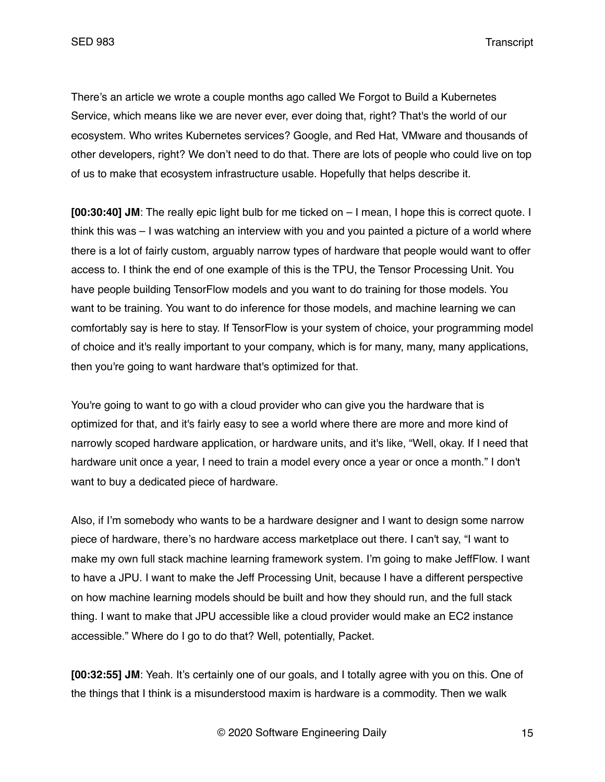There's an article we wrote a couple months ago called We Forgot to Build a Kubernetes Service, which means like we are never ever, ever doing that, right? That's the world of our ecosystem. Who writes Kubernetes services? Google, and Red Hat, VMware and thousands of other developers, right? We don't need to do that. There are lots of people who could live on top of us to make that ecosystem infrastructure usable. Hopefully that helps describe it.

**[00:30:40] JM**: The really epic light bulb for me ticked on – I mean, I hope this is correct quote. I think this was – I was watching an interview with you and you painted a picture of a world where there is a lot of fairly custom, arguably narrow types of hardware that people would want to offer access to. I think the end of one example of this is the TPU, the Tensor Processing Unit. You have people building TensorFlow models and you want to do training for those models. You want to be training. You want to do inference for those models, and machine learning we can comfortably say is here to stay. If TensorFlow is your system of choice, your programming model of choice and it's really important to your company, which is for many, many, many applications, then you're going to want hardware that's optimized for that.

You're going to want to go with a cloud provider who can give you the hardware that is optimized for that, and it's fairly easy to see a world where there are more and more kind of narrowly scoped hardware application, or hardware units, and it's like, "Well, okay. If I need that hardware unit once a year, I need to train a model every once a year or once a month." I don't want to buy a dedicated piece of hardware.

Also, if I'm somebody who wants to be a hardware designer and I want to design some narrow piece of hardware, there's no hardware access marketplace out there. I can't say, "I want to make my own full stack machine learning framework system. I'm going to make JeffFlow. I want to have a JPU. I want to make the Jeff Processing Unit, because I have a different perspective on how machine learning models should be built and how they should run, and the full stack thing. I want to make that JPU accessible like a cloud provider would make an EC2 instance accessible." Where do I go to do that? Well, potentially, Packet.

**[00:32:55] JM**: Yeah. It's certainly one of our goals, and I totally agree with you on this. One of the things that I think is a misunderstood maxim is hardware is a commodity. Then we walk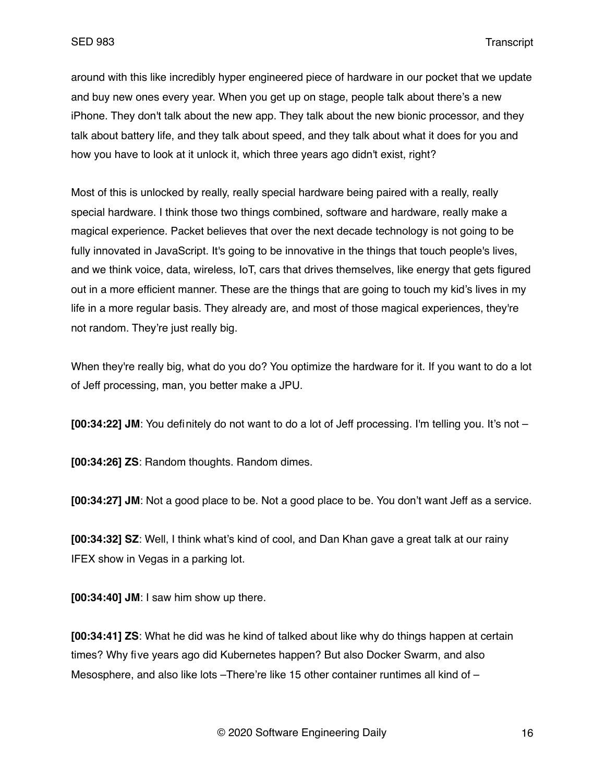around with this like incredibly hyper engineered piece of hardware in our pocket that we update and buy new ones every year. When you get up on stage, people talk about there's a new iPhone. They don't talk about the new app. They talk about the new bionic processor, and they talk about battery life, and they talk about speed, and they talk about what it does for you and how you have to look at it unlock it, which three years ago didn't exist, right?

Most of this is unlocked by really, really special hardware being paired with a really, really special hardware. I think those two things combined, software and hardware, really make a magical experience. Packet believes that over the next decade technology is not going to be fully innovated in JavaScript. It's going to be innovative in the things that touch people's lives, and we think voice, data, wireless, IoT, cars that drives themselves, like energy that gets figured out in a more efficient manner. These are the things that are going to touch my kid's lives in my life in a more regular basis. They already are, and most of those magical experiences, they're not random. They're just really big.

When they're really big, what do you do? You optimize the hardware for it. If you want to do a lot of Jeff processing, man, you better make a JPU.

**[00:34:22] JM**: You definitely do not want to do a lot of Jeff processing. I'm telling you. It's not –

**[00:34:26] ZS**: Random thoughts. Random dimes.

**[00:34:27] JM**: Not a good place to be. Not a good place to be. You don't want Jeff as a service.

**[00:34:32] SZ**: Well, I think what's kind of cool, and Dan Khan gave a great talk at our rainy IFEX show in Vegas in a parking lot.

**[00:34:40] JM**: I saw him show up there.

**[00:34:41] ZS**: What he did was he kind of talked about like why do things happen at certain times? Why five years ago did Kubernetes happen? But also Docker Swarm, and also Mesosphere, and also like lots - There're like 15 other container runtimes all kind of -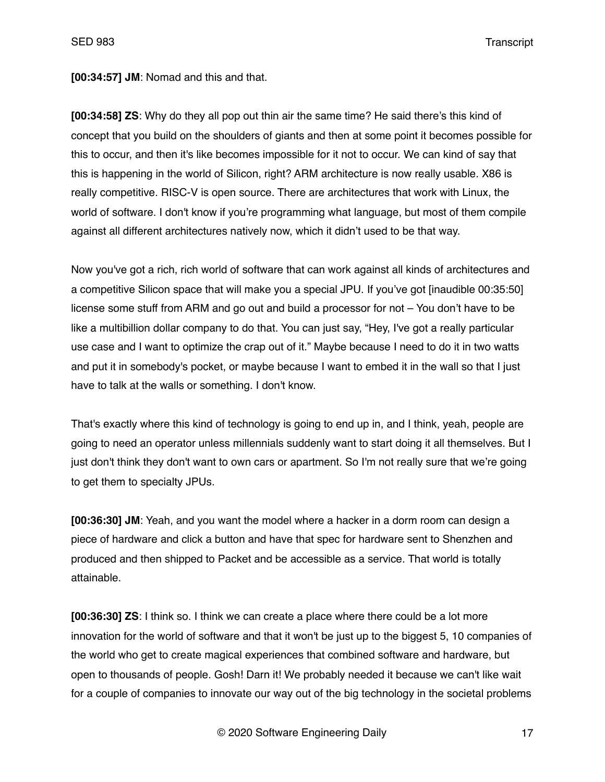**[00:34:57] JM**: Nomad and this and that.

**[00:34:58] ZS**: Why do they all pop out thin air the same time? He said there's this kind of concept that you build on the shoulders of giants and then at some point it becomes possible for this to occur, and then it's like becomes impossible for it not to occur. We can kind of say that this is happening in the world of Silicon, right? ARM architecture is now really usable. X86 is really competitive. RISC-V is open source. There are architectures that work with Linux, the world of software. I don't know if you're programming what language, but most of them compile against all different architectures natively now, which it didn't used to be that way.

Now you've got a rich, rich world of software that can work against all kinds of architectures and a competitive Silicon space that will make you a special JPU. If you've got [inaudible 00:35:50] license some stuff from ARM and go out and build a processor for not – You don't have to be like a multibillion dollar company to do that. You can just say, "Hey, I've got a really particular use case and I want to optimize the crap out of it." Maybe because I need to do it in two watts and put it in somebody's pocket, or maybe because I want to embed it in the wall so that I just have to talk at the walls or something. I don't know.

That's exactly where this kind of technology is going to end up in, and I think, yeah, people are going to need an operator unless millennials suddenly want to start doing it all themselves. But I just don't think they don't want to own cars or apartment. So I'm not really sure that we're going to get them to specialty JPUs.

**[00:36:30] JM**: Yeah, and you want the model where a hacker in a dorm room can design a piece of hardware and click a button and have that spec for hardware sent to Shenzhen and produced and then shipped to Packet and be accessible as a service. That world is totally attainable.

**[00:36:30] ZS**: I think so. I think we can create a place where there could be a lot more innovation for the world of software and that it won't be just up to the biggest 5, 10 companies of the world who get to create magical experiences that combined software and hardware, but open to thousands of people. Gosh! Darn it! We probably needed it because we can't like wait for a couple of companies to innovate our way out of the big technology in the societal problems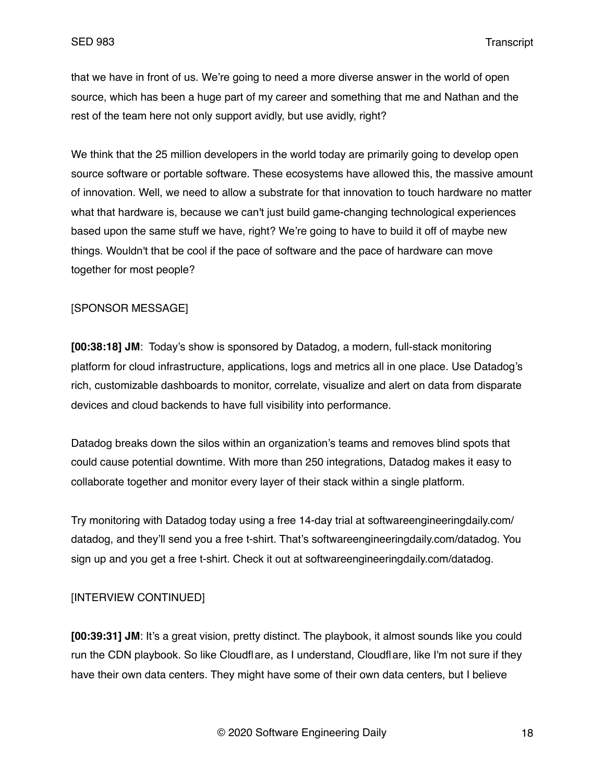that we have in front of us. We're going to need a more diverse answer in the world of open source, which has been a huge part of my career and something that me and Nathan and the rest of the team here not only support avidly, but use avidly, right?

We think that the 25 million developers in the world today are primarily going to develop open source software or portable software. These ecosystems have allowed this, the massive amount of innovation. Well, we need to allow a substrate for that innovation to touch hardware no matter what that hardware is, because we can't just build game-changing technological experiences based upon the same stuff we have, right? We're going to have to build it off of maybe new things. Wouldn't that be cool if the pace of software and the pace of hardware can move together for most people?

### [SPONSOR MESSAGE]

**[00:38:18] JM**: Today's show is sponsored by Datadog, a modern, full-stack monitoring platform for cloud infrastructure, applications, logs and metrics all in one place. Use Datadog's rich, customizable dashboards to monitor, correlate, visualize and alert on data from disparate devices and cloud backends to have full visibility into performance.

Datadog breaks down the silos within an organization's teams and removes blind spots that could cause potential downtime. With more than 250 integrations, Datadog makes it easy to collaborate together and monitor every layer of their stack within a single platform.

Try monitoring with Datadog today using a free 14-day trial at softwareengineeringdaily.com/ datadog, and they'll send you a free t-shirt. That's softwareengineeringdaily.com/datadog. You sign up and you get a free t-shirt. Check it out at softwareengineeringdaily.com/datadog.

## [INTERVIEW CONTINUED]

**[00:39:31] JM**: It's a great vision, pretty distinct. The playbook, it almost sounds like you could run the CDN playbook. So like Cloudflare, as I understand, Cloudflare, like I'm not sure if they have their own data centers. They might have some of their own data centers, but I believe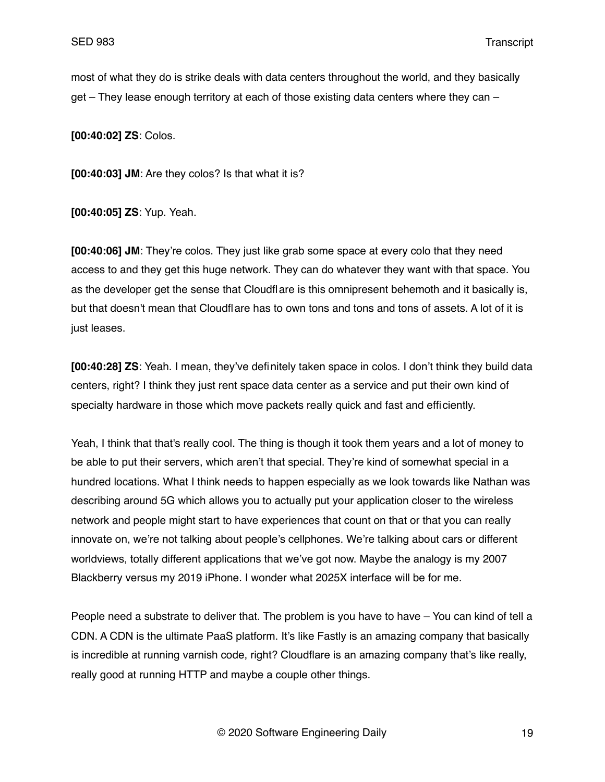most of what they do is strike deals with data centers throughout the world, and they basically get – They lease enough territory at each of those existing data centers where they can –

**[00:40:02] ZS**: Colos.

**[00:40:03] JM**: Are they colos? Is that what it is?

**[00:40:05] ZS**: Yup. Yeah.

**[00:40:06] JM**: They're colos. They just like grab some space at every colo that they need access to and they get this huge network. They can do whatever they want with that space. You as the developer get the sense that Cloudflare is this omnipresent behemoth and it basically is, but that doesn't mean that Cloudflare has to own tons and tons and tons of assets. A lot of it is just leases.

**[00:40:28] ZS**: Yeah. I mean, they've definitely taken space in colos. I don't think they build data centers, right? I think they just rent space data center as a service and put their own kind of specialty hardware in those which move packets really quick and fast and efficiently.

Yeah, I think that that's really cool. The thing is though it took them years and a lot of money to be able to put their servers, which aren't that special. They're kind of somewhat special in a hundred locations. What I think needs to happen especially as we look towards like Nathan was describing around 5G which allows you to actually put your application closer to the wireless network and people might start to have experiences that count on that or that you can really innovate on, we're not talking about people's cellphones. We're talking about cars or different worldviews, totally different applications that we've got now. Maybe the analogy is my 2007 Blackberry versus my 2019 iPhone. I wonder what 2025X interface will be for me.

People need a substrate to deliver that. The problem is you have to have – You can kind of tell a CDN. A CDN is the ultimate PaaS platform. It's like Fastly is an amazing company that basically is incredible at running varnish code, right? Cloudflare is an amazing company that's like really, really good at running HTTP and maybe a couple other things.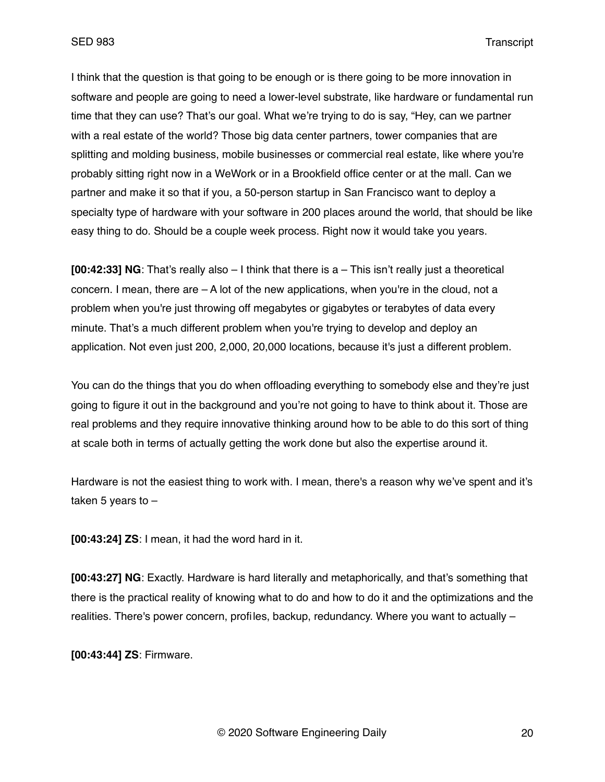I think that the question is that going to be enough or is there going to be more innovation in software and people are going to need a lower-level substrate, like hardware or fundamental run time that they can use? That's our goal. What we're trying to do is say, "Hey, can we partner with a real estate of the world? Those big data center partners, tower companies that are splitting and molding business, mobile businesses or commercial real estate, like where you're probably sitting right now in a WeWork or in a Brookfield office center or at the mall. Can we partner and make it so that if you, a 50-person startup in San Francisco want to deploy a specialty type of hardware with your software in 200 places around the world, that should be like easy thing to do. Should be a couple week process. Right now it would take you years.

**[00:42:33] NG**: That's really also – I think that there is a – This isn't really just a theoretical concern. I mean, there are  $- A$  lot of the new applications, when you're in the cloud, not a problem when you're just throwing off megabytes or gigabytes or terabytes of data every minute. That's a much different problem when you're trying to develop and deploy an application. Not even just 200, 2,000, 20,000 locations, because it's just a different problem.

You can do the things that you do when offloading everything to somebody else and they're just going to figure it out in the background and you're not going to have to think about it. Those are real problems and they require innovative thinking around how to be able to do this sort of thing at scale both in terms of actually getting the work done but also the expertise around it.

Hardware is not the easiest thing to work with. I mean, there's a reason why we've spent and it's taken 5 years to  $-$ 

**[00:43:24] ZS**: I mean, it had the word hard in it.

**[00:43:27] NG**: Exactly. Hardware is hard literally and metaphorically, and that's something that there is the practical reality of knowing what to do and how to do it and the optimizations and the realities. There's power concern, profiles, backup, redundancy. Where you want to actually –

**[00:43:44] ZS**: Firmware.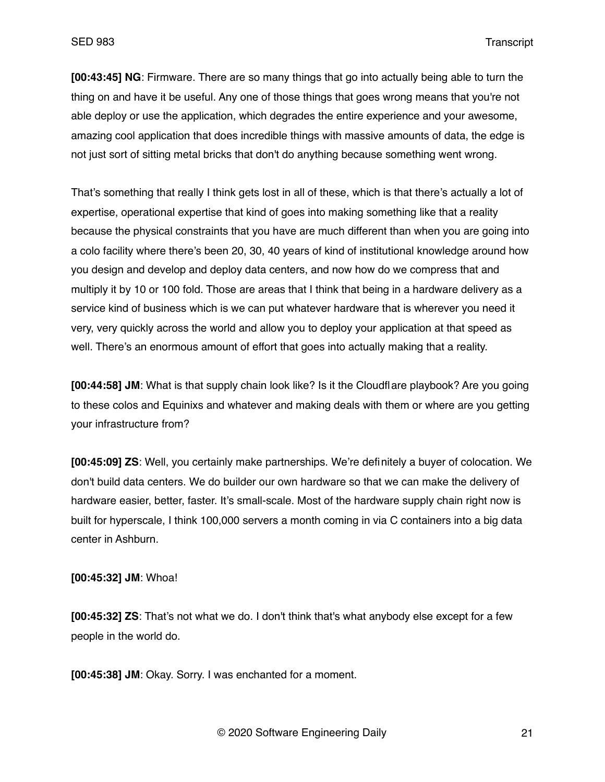**[00:43:45] NG**: Firmware. There are so many things that go into actually being able to turn the thing on and have it be useful. Any one of those things that goes wrong means that you're not able deploy or use the application, which degrades the entire experience and your awesome, amazing cool application that does incredible things with massive amounts of data, the edge is not just sort of sitting metal bricks that don't do anything because something went wrong.

That's something that really I think gets lost in all of these, which is that there's actually a lot of expertise, operational expertise that kind of goes into making something like that a reality because the physical constraints that you have are much different than when you are going into a colo facility where there's been 20, 30, 40 years of kind of institutional knowledge around how you design and develop and deploy data centers, and now how do we compress that and multiply it by 10 or 100 fold. Those are areas that I think that being in a hardware delivery as a service kind of business which is we can put whatever hardware that is wherever you need it very, very quickly across the world and allow you to deploy your application at that speed as well. There's an enormous amount of effort that goes into actually making that a reality.

**[00:44:58] JM**: What is that supply chain look like? Is it the Cloudflare playbook? Are you going to these colos and Equinixs and whatever and making deals with them or where are you getting your infrastructure from?

**[00:45:09] ZS**: Well, you certainly make partnerships. We're definitely a buyer of colocation. We don't build data centers. We do builder our own hardware so that we can make the delivery of hardware easier, better, faster. It's small-scale. Most of the hardware supply chain right now is built for hyperscale, I think 100,000 servers a month coming in via C containers into a big data center in Ashburn.

#### **[00:45:32] JM**: Whoa!

**[00:45:32] ZS**: That's not what we do. I don't think that's what anybody else except for a few people in the world do.

**[00:45:38] JM**: Okay. Sorry. I was enchanted for a moment.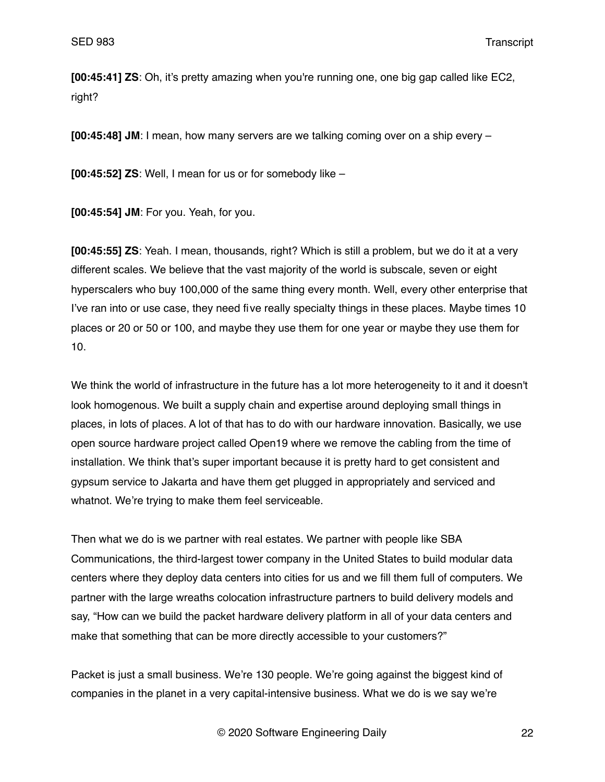**[00:45:41] ZS**: Oh, it's pretty amazing when you're running one, one big gap called like EC2, right?

**[00:45:48] JM**: I mean, how many servers are we talking coming over on a ship every –

**[00:45:52] ZS**: Well, I mean for us or for somebody like –

**[00:45:54] JM**: For you. Yeah, for you.

**[00:45:55] ZS**: Yeah. I mean, thousands, right? Which is still a problem, but we do it at a very different scales. We believe that the vast majority of the world is subscale, seven or eight hyperscalers who buy 100,000 of the same thing every month. Well, every other enterprise that I've ran into or use case, they need five really specialty things in these places. Maybe times 10 places or 20 or 50 or 100, and maybe they use them for one year or maybe they use them for 10.

We think the world of infrastructure in the future has a lot more heterogeneity to it and it doesn't look homogenous. We built a supply chain and expertise around deploying small things in places, in lots of places. A lot of that has to do with our hardware innovation. Basically, we use open source hardware project called Open19 where we remove the cabling from the time of installation. We think that's super important because it is pretty hard to get consistent and gypsum service to Jakarta and have them get plugged in appropriately and serviced and whatnot. We're trying to make them feel serviceable.

Then what we do is we partner with real estates. We partner with people like SBA Communications, the third-largest tower company in the United States to build modular data centers where they deploy data centers into cities for us and we fill them full of computers. We partner with the large wreaths colocation infrastructure partners to build delivery models and say, "How can we build the packet hardware delivery platform in all of your data centers and make that something that can be more directly accessible to your customers?"

Packet is just a small business. We're 130 people. We're going against the biggest kind of companies in the planet in a very capital-intensive business. What we do is we say we're

© 2020 Software Engineering Daily 22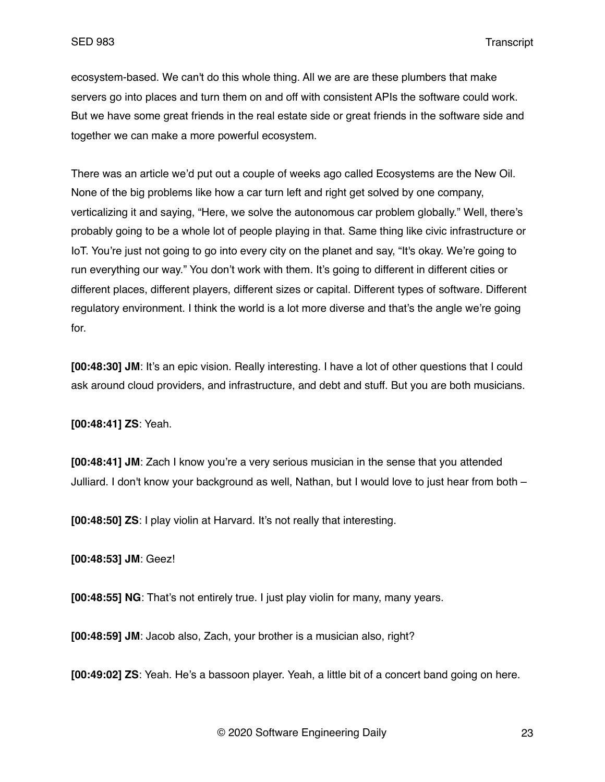ecosystem-based. We can't do this whole thing. All we are are these plumbers that make servers go into places and turn them on and off with consistent APIs the software could work. But we have some great friends in the real estate side or great friends in the software side and together we can make a more powerful ecosystem.

There was an article we'd put out a couple of weeks ago called Ecosystems are the New Oil. None of the big problems like how a car turn left and right get solved by one company, verticalizing it and saying, "Here, we solve the autonomous car problem globally." Well, there's probably going to be a whole lot of people playing in that. Same thing like civic infrastructure or IoT. You're just not going to go into every city on the planet and say, "It's okay. We're going to run everything our way." You don't work with them. It's going to different in different cities or different places, different players, different sizes or capital. Different types of software. Different regulatory environment. I think the world is a lot more diverse and that's the angle we're going for.

**[00:48:30] JM**: It's an epic vision. Really interesting. I have a lot of other questions that I could ask around cloud providers, and infrastructure, and debt and stuff. But you are both musicians.

**[00:48:41] ZS**: Yeah.

**[00:48:41] JM**: Zach I know you're a very serious musician in the sense that you attended Julliard. I don't know your background as well, Nathan, but I would love to just hear from both –

**[00:48:50] ZS**: I play violin at Harvard. It's not really that interesting.

**[00:48:53] JM**: Geez!

**[00:48:55] NG**: That's not entirely true. I just play violin for many, many years.

**[00:48:59] JM**: Jacob also, Zach, your brother is a musician also, right?

**[00:49:02] ZS**: Yeah. He's a bassoon player. Yeah, a little bit of a concert band going on here.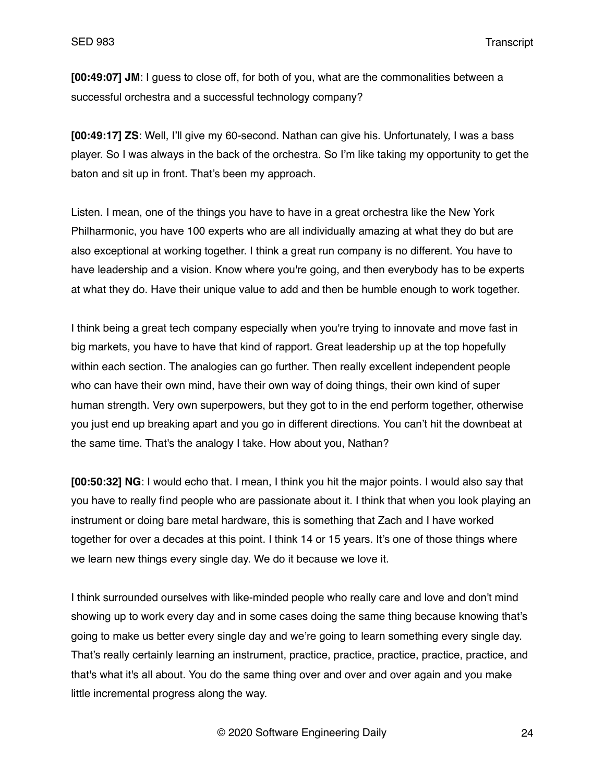**[00:49:07] JM**: I guess to close off, for both of you, what are the commonalities between a successful orchestra and a successful technology company?

**[00:49:17] ZS**: Well, I'll give my 60-second. Nathan can give his. Unfortunately, I was a bass player. So I was always in the back of the orchestra. So I'm like taking my opportunity to get the baton and sit up in front. That's been my approach.

Listen. I mean, one of the things you have to have in a great orchestra like the New York Philharmonic, you have 100 experts who are all individually amazing at what they do but are also exceptional at working together. I think a great run company is no different. You have to have leadership and a vision. Know where you're going, and then everybody has to be experts at what they do. Have their unique value to add and then be humble enough to work together.

I think being a great tech company especially when you're trying to innovate and move fast in big markets, you have to have that kind of rapport. Great leadership up at the top hopefully within each section. The analogies can go further. Then really excellent independent people who can have their own mind, have their own way of doing things, their own kind of super human strength. Very own superpowers, but they got to in the end perform together, otherwise you just end up breaking apart and you go in different directions. You can't hit the downbeat at the same time. That's the analogy I take. How about you, Nathan?

**[00:50:32] NG**: I would echo that. I mean, I think you hit the major points. I would also say that you have to really find people who are passionate about it. I think that when you look playing an instrument or doing bare metal hardware, this is something that Zach and I have worked together for over a decades at this point. I think 14 or 15 years. It's one of those things where we learn new things every single day. We do it because we love it.

I think surrounded ourselves with like-minded people who really care and love and don't mind showing up to work every day and in some cases doing the same thing because knowing that's going to make us better every single day and we're going to learn something every single day. That's really certainly learning an instrument, practice, practice, practice, practice, practice, and that's what it's all about. You do the same thing over and over and over again and you make little incremental progress along the way.